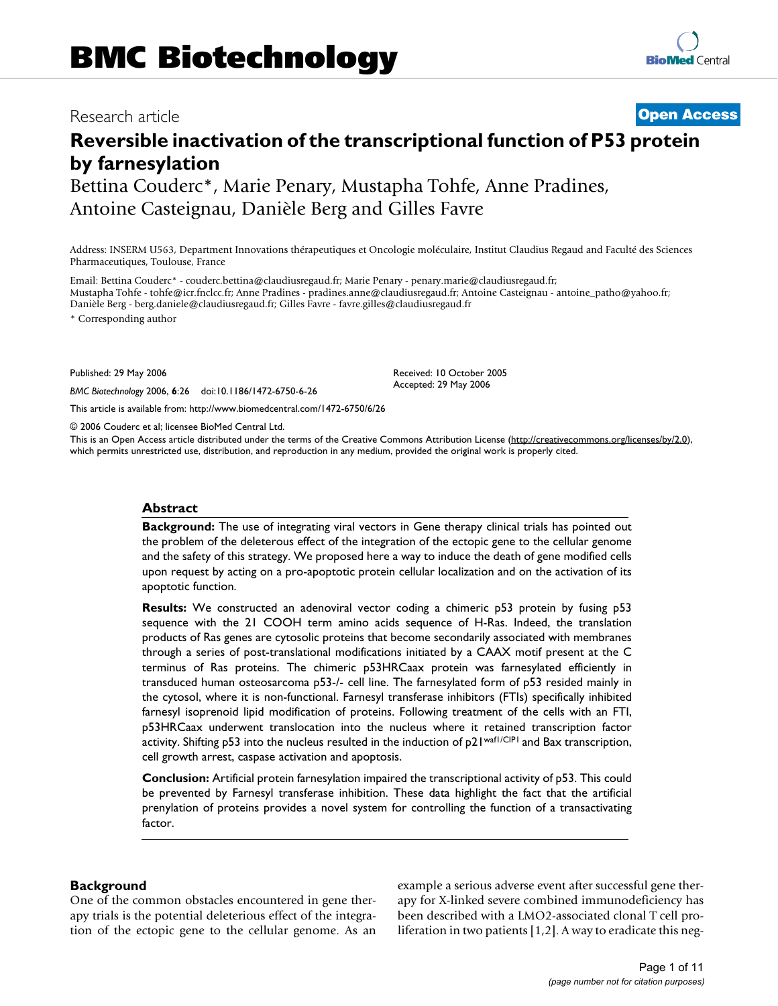# Research article **[Open Access](http://www.biomedcentral.com/info/about/charter/)**

# **Reversible inactivation of the transcriptional function of P53 protein by farnesylation**

Bettina Couderc\*, Marie Penary, Mustapha Tohfe, Anne Pradines, Antoine Casteignau, Danièle Berg and Gilles Favre

Address: INSERM U563, Department Innovations thérapeutiques et Oncologie moléculaire, Institut Claudius Regaud and Faculté des Sciences Pharmaceutiques, Toulouse, France

Email: Bettina Couderc\* - couderc.bettina@claudiusregaud.fr; Marie Penary - penary.marie@claudiusregaud.fr; Mustapha Tohfe - tohfe@icr.fnclcc.fr; Anne Pradines - pradines.anne@claudiusregaud.fr; Antoine Casteignau - antoine\_patho@yahoo.fr; Danièle Berg - berg.daniele@claudiusregaud.fr; Gilles Favre - favre.gilles@claudiusregaud.fr

\* Corresponding author

Published: 29 May 2006

*BMC Biotechnology* 2006, **6**:26 doi:10.1186/1472-6750-6-26

[This article is available from: http://www.biomedcentral.com/1472-6750/6/26](http://www.biomedcentral.com/1472-6750/6/26)

© 2006 Couderc et al; licensee BioMed Central Ltd.

This is an Open Access article distributed under the terms of the Creative Commons Attribution License [\(http://creativecommons.org/licenses/by/2.0\)](http://creativecommons.org/licenses/by/2.0), which permits unrestricted use, distribution, and reproduction in any medium, provided the original work is properly cited.

Received: 10 October 2005 Accepted: 29 May 2006

#### **Abstract**

**Background:** The use of integrating viral vectors in Gene therapy clinical trials has pointed out the problem of the deleterous effect of the integration of the ectopic gene to the cellular genome and the safety of this strategy. We proposed here a way to induce the death of gene modified cells upon request by acting on a pro-apoptotic protein cellular localization and on the activation of its apoptotic function.

**Results:** We constructed an adenoviral vector coding a chimeric p53 protein by fusing p53 sequence with the 21 COOH term amino acids sequence of H-Ras. Indeed, the translation products of Ras genes are cytosolic proteins that become secondarily associated with membranes through a series of post-translational modifications initiated by a CAAX motif present at the C terminus of Ras proteins. The chimeric p53HRCaax protein was farnesylated efficiently in transduced human osteosarcoma p53-/- cell line. The farnesylated form of p53 resided mainly in the cytosol, where it is non-functional. Farnesyl transferase inhibitors (FTIs) specifically inhibited farnesyl isoprenoid lipid modification of proteins. Following treatment of the cells with an FTI, p53HRCaax underwent translocation into the nucleus where it retained transcription factor activity. Shifting p53 into the nucleus resulted in the induction of p21waf1/CIP1 and Bax transcription, cell growth arrest, caspase activation and apoptosis.

**Conclusion:** Artificial protein farnesylation impaired the transcriptional activity of p53. This could be prevented by Farnesyl transferase inhibition. These data highlight the fact that the artificial prenylation of proteins provides a novel system for controlling the function of a transactivating factor.

### **Background**

One of the common obstacles encountered in gene therapy trials is the potential deleterious effect of the integration of the ectopic gene to the cellular genome. As an example a serious adverse event after successful gene therapy for X-linked severe combined immunodeficiency has been described with a LMO2-associated clonal T cell proliferation in two patients [1,2]. A way to eradicate this neg-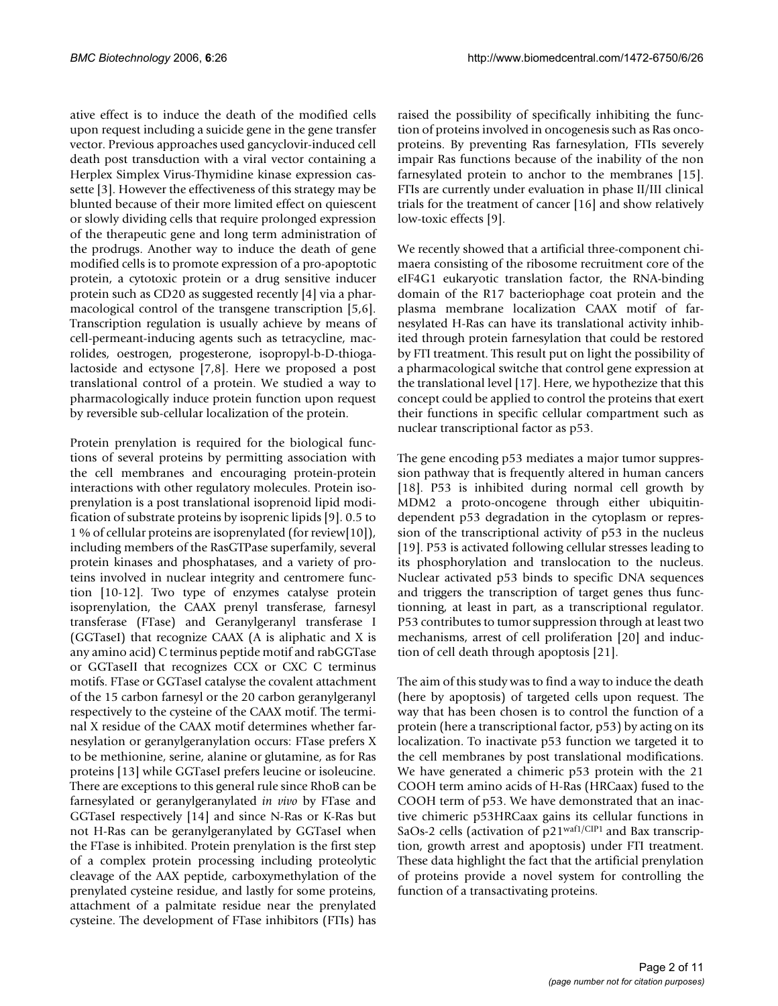ative effect is to induce the death of the modified cells upon request including a suicide gene in the gene transfer vector. Previous approaches used gancyclovir-induced cell death post transduction with a viral vector containing a Herplex Simplex Virus-Thymidine kinase expression cassette [3]. However the effectiveness of this strategy may be blunted because of their more limited effect on quiescent or slowly dividing cells that require prolonged expression of the therapeutic gene and long term administration of the prodrugs. Another way to induce the death of gene modified cells is to promote expression of a pro-apoptotic protein, a cytotoxic protein or a drug sensitive inducer protein such as CD20 as suggested recently [4] via a pharmacological control of the transgene transcription [5,6]. Transcription regulation is usually achieve by means of cell-permeant-inducing agents such as tetracycline, macrolides, oestrogen, progesterone, isopropyl-b-D-thiogalactoside and ectysone [7,8]. Here we proposed a post translational control of a protein. We studied a way to pharmacologically induce protein function upon request by reversible sub-cellular localization of the protein.

Protein prenylation is required for the biological functions of several proteins by permitting association with the cell membranes and encouraging protein-protein interactions with other regulatory molecules. Protein isoprenylation is a post translational isoprenoid lipid modification of substrate proteins by isoprenic lipids [9]. 0.5 to 1 % of cellular proteins are isoprenylated (for review[10]), including members of the RasGTPase superfamily, several protein kinases and phosphatases, and a variety of proteins involved in nuclear integrity and centromere function [10-12]. Two type of enzymes catalyse protein isoprenylation, the CAAX prenyl transferase, farnesyl transferase (FTase) and Geranylgeranyl transferase I (GGTaseI) that recognize CAAX (A is aliphatic and X is any amino acid) C terminus peptide motif and rabGGTase or GGTaseII that recognizes CCX or CXC C terminus motifs. FTase or GGTaseI catalyse the covalent attachment of the 15 carbon farnesyl or the 20 carbon geranylgeranyl respectively to the cysteine of the CAAX motif. The terminal X residue of the CAAX motif determines whether farnesylation or geranylgeranylation occurs: FTase prefers X to be methionine, serine, alanine or glutamine, as for Ras proteins [13] while GGTaseI prefers leucine or isoleucine. There are exceptions to this general rule since RhoB can be farnesylated or geranylgeranylated *in vivo* by FTase and GGTaseI respectively [14] and since N-Ras or K-Ras but not H-Ras can be geranylgeranylated by GGTaseI when the FTase is inhibited. Protein prenylation is the first step of a complex protein processing including proteolytic cleavage of the AAX peptide, carboxymethylation of the prenylated cysteine residue, and lastly for some proteins, attachment of a palmitate residue near the prenylated cysteine. The development of FTase inhibitors (FTIs) has

raised the possibility of specifically inhibiting the function of proteins involved in oncogenesis such as Ras oncoproteins. By preventing Ras farnesylation, FTIs severely impair Ras functions because of the inability of the non farnesylated protein to anchor to the membranes [15]. FTIs are currently under evaluation in phase II/III clinical trials for the treatment of cancer [16] and show relatively low-toxic effects [9].

We recently showed that a artificial three-component chimaera consisting of the ribosome recruitment core of the eIF4G1 eukaryotic translation factor, the RNA-binding domain of the R17 bacteriophage coat protein and the plasma membrane localization CAAX motif of farnesylated H-Ras can have its translational activity inhibited through protein farnesylation that could be restored by FTI treatment. This result put on light the possibility of a pharmacological switche that control gene expression at the translational level [17]. Here, we hypothezize that this concept could be applied to control the proteins that exert their functions in specific cellular compartment such as nuclear transcriptional factor as p53.

The gene encoding p53 mediates a major tumor suppression pathway that is frequently altered in human cancers [18]. P53 is inhibited during normal cell growth by MDM2 a proto-oncogene through either ubiquitindependent p53 degradation in the cytoplasm or repression of the transcriptional activity of p53 in the nucleus [19]. P53 is activated following cellular stresses leading to its phosphorylation and translocation to the nucleus. Nuclear activated p53 binds to specific DNA sequences and triggers the transcription of target genes thus functionning, at least in part, as a transcriptional regulator. P53 contributes to tumor suppression through at least two mechanisms, arrest of cell proliferation [20] and induction of cell death through apoptosis [21].

The aim of this study was to find a way to induce the death (here by apoptosis) of targeted cells upon request. The way that has been chosen is to control the function of a protein (here a transcriptional factor, p53) by acting on its localization. To inactivate p53 function we targeted it to the cell membranes by post translational modifications. We have generated a chimeric p53 protein with the 21 COOH term amino acids of H-Ras (HRCaax) fused to the COOH term of p53. We have demonstrated that an inactive chimeric p53HRCaax gains its cellular functions in SaOs-2 cells (activation of p21<sup>waf1/CIP1</sup> and Bax transcription, growth arrest and apoptosis) under FTI treatment. These data highlight the fact that the artificial prenylation of proteins provide a novel system for controlling the function of a transactivating proteins.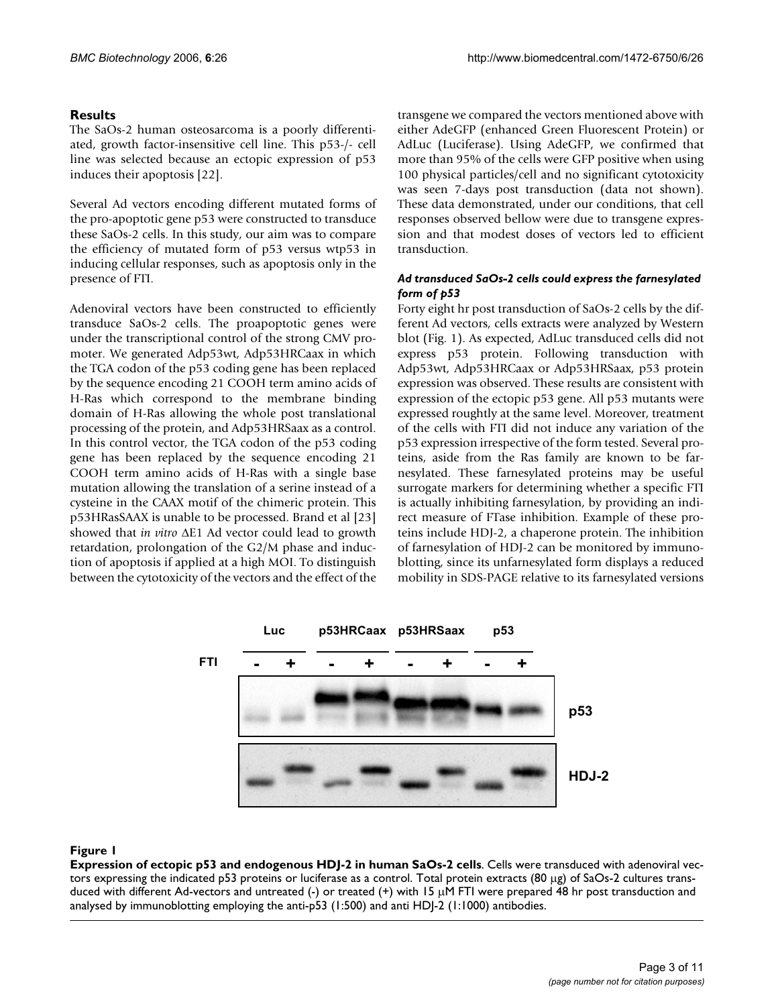# **Results**

The SaOs-2 human osteosarcoma is a poorly differentiated, growth factor-insensitive cell line. This p53-/- cell line was selected because an ectopic expression of p53 induces their apoptosis [22].

Several Ad vectors encoding different mutated forms of the pro-apoptotic gene p53 were constructed to transduce these SaOs-2 cells. In this study, our aim was to compare the efficiency of mutated form of p53 versus wtp53 in inducing cellular responses, such as apoptosis only in the presence of FTI.

Adenoviral vectors have been constructed to efficiently transduce SaOs-2 cells. The proapoptotic genes were under the transcriptional control of the strong CMV promoter. We generated Adp53wt, Adp53HRCaax in which the TGA codon of the p53 coding gene has been replaced by the sequence encoding 21 COOH term amino acids of H-Ras which correspond to the membrane binding domain of H-Ras allowing the whole post translational processing of the protein, and Adp53HRSaax as a control. In this control vector, the TGA codon of the p53 coding gene has been replaced by the sequence encoding 21 COOH term amino acids of H-Ras with a single base mutation allowing the translation of a serine instead of a cysteine in the CAAX motif of the chimeric protein. This p53HRasSAAX is unable to be processed. Brand et al [23] showed that *in vitro* ∆E1 Ad vector could lead to growth retardation, prolongation of the G2/M phase and induction of apoptosis if applied at a high MOI. To distinguish between the cytotoxicity of the vectors and the effect of the transgene we compared the vectors mentioned above with either AdeGFP (enhanced Green Fluorescent Protein) or AdLuc (Luciferase). Using AdeGFP, we confirmed that more than 95% of the cells were GFP positive when using 100 physical particles/cell and no significant cytotoxicity was seen 7-days post transduction (data not shown). These data demonstrated, under our conditions, that cell responses observed bellow were due to transgene expression and that modest doses of vectors led to efficient transduction.

# *Ad transduced SaOs-2 cells could express the farnesylated form of p53*

Forty eight hr post transduction of SaOs-2 cells by the different Ad vectors, cells extracts were analyzed by Western blot (Fig. 1). As expected, AdLuc transduced cells did not express p53 protein. Following transduction with Adp53wt, Adp53HRCaax or Adp53HRSaax, p53 protein expression was observed. These results are consistent with expression of the ectopic p53 gene. All p53 mutants were expressed roughtly at the same level. Moreover, treatment of the cells with FTI did not induce any variation of the p53 expression irrespective of the form tested. Several proteins, aside from the Ras family are known to be farnesylated. These farnesylated proteins may be useful surrogate markers for determining whether a specific FTI is actually inhibiting farnesylation, by providing an indirect measure of FTase inhibition. Example of these proteins include HDJ-2, a chaperone protein. The inhibition of farnesylation of HDJ-2 can be monitored by immunoblotting, since its unfarnesylated form displays a reduced mobility in SDS-PAGE relative to its farnesylated versions



### Figure 1

**Expression of ectopic p53 and endogenous HDJ-2 in human SaOs-2 cells**. Cells were transduced with adenoviral vectors expressing the indicated p53 proteins or luciferase as a control. Total protein extracts (80 µg) of SaOs-2 cultures transduced with different Ad-vectors and untreated (-) or treated (+) with 15  $\mu$ M FTI were prepared 48 hr post transduction and analysed by immunoblotting employing the anti-p53 (1:500) and anti HDJ-2 (1:1000) antibodies.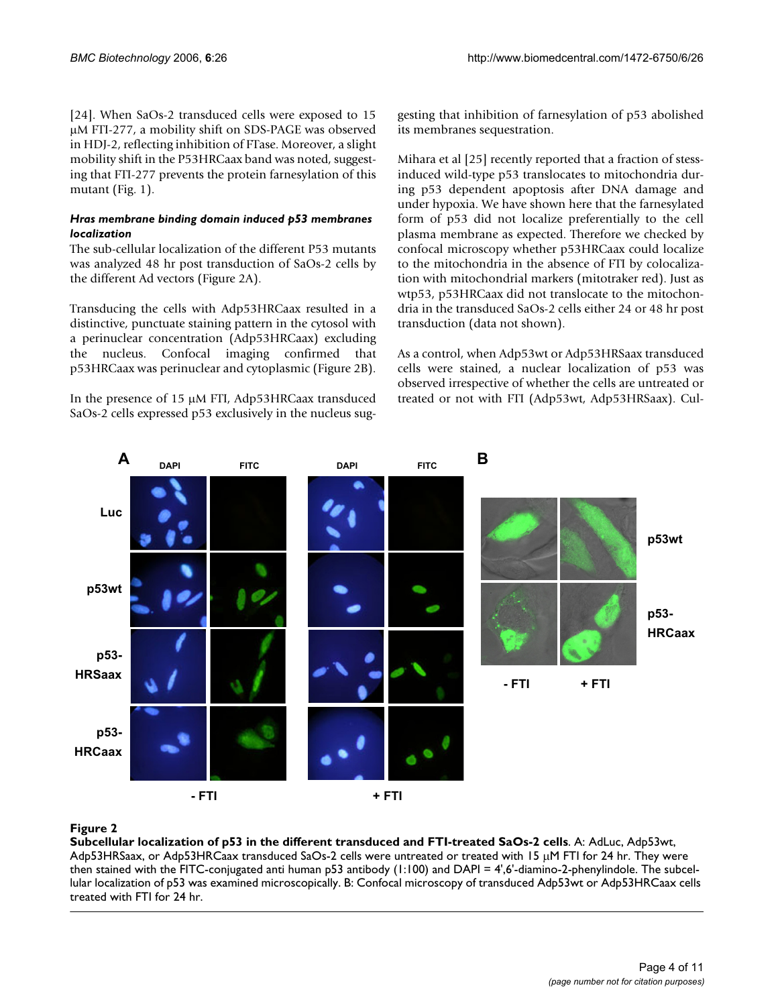[24]. When SaOs-2 transduced cells were exposed to 15 µM FTI-277, a mobility shift on SDS-PAGE was observed in HDJ-2, reflecting inhibition of FTase. Moreover, a slight mobility shift in the P53HRCaax band was noted, suggesting that FTI-277 prevents the protein farnesylation of this mutant (Fig. 1).

### *Hras membrane binding domain induced p53 membranes localization*

The sub-cellular localization of the different P53 mutants was analyzed 48 hr post transduction of SaOs-2 cells by the different Ad vectors (Figure 2A).

Transducing the cells with Adp53HRCaax resulted in a distinctive, punctuate staining pattern in the cytosol with a perinuclear concentration (Adp53HRCaax) excluding the nucleus. Confocal imaging confirmed that p53HRCaax was perinuclear and cytoplasmic (Figure 2B).

In the presence of 15 µM FTI, Adp53HRCaax transduced SaOs-2 cells expressed p53 exclusively in the nucleus suggesting that inhibition of farnesylation of p53 abolished its membranes sequestration.

Mihara et al [25] recently reported that a fraction of stessinduced wild-type p53 translocates to mitochondria during p53 dependent apoptosis after DNA damage and under hypoxia. We have shown here that the farnesylated form of p53 did not localize preferentially to the cell plasma membrane as expected. Therefore we checked by confocal microscopy whether p53HRCaax could localize to the mitochondria in the absence of FTI by colocalization with mitochondrial markers (mitotraker red). Just as wtp53, p53HRCaax did not translocate to the mitochondria in the transduced SaOs-2 cells either 24 or 48 hr post transduction (data not shown).

As a control, when Adp53wt or Adp53HRSaax transduced cells were stained, a nuclear localization of p53 was observed irrespective of whether the cells are untreated or treated or not with FTI (Adp53wt, Adp53HRSaax). Cul-



# $$

**Subcellular localization of p53 in the different transduced and FTI-treated SaOs-2 cells**. A: AdLuc, Adp53wt, Adp53HRSaax, or Adp53HRCaax transduced SaOs-2 cells were untreated or treated with 15 µM FTI for 24 hr. They were then stained with the FITC-conjugated anti human p53 antibody (1:100) and DAPI = 4',6'-diamino-2-phenylindole. The subcellular localization of p53 was examined microscopically. B: Confocal microscopy of transduced Adp53wt or Adp53HRCaax cells treated with FTI for 24 hr.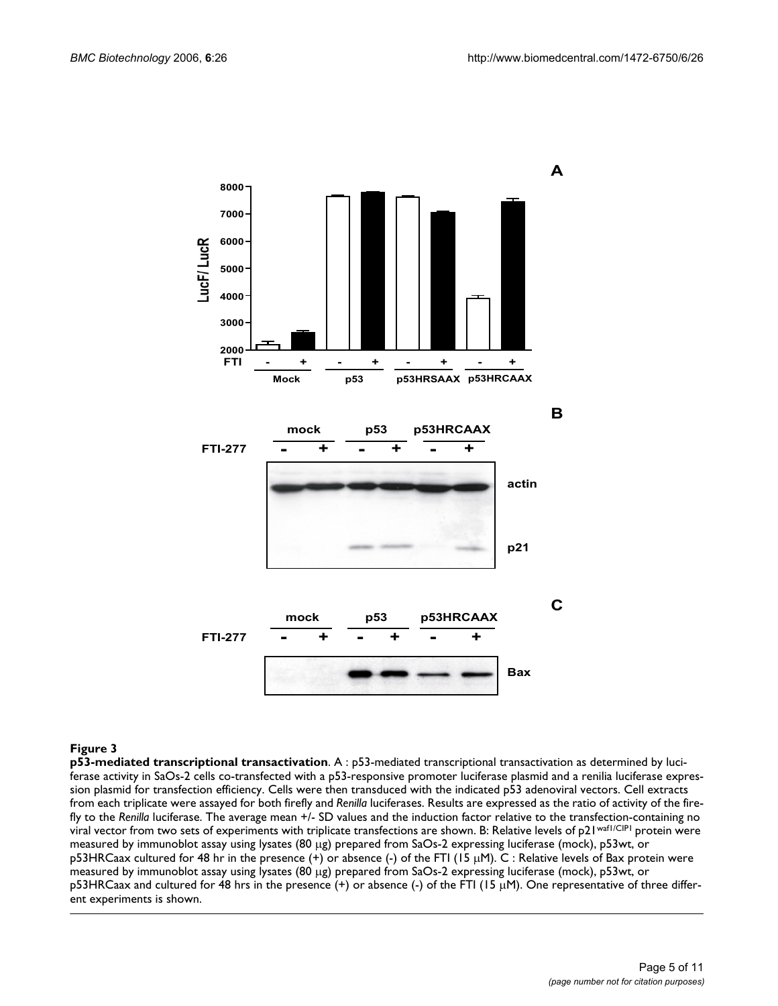

#### **Figure 3**

**p53-mediated transcriptional transactivation**. A : p53-mediated transcriptional transactivation as determined by luciferase activity in SaOs-2 cells co-transfected with a p53-responsive promoter luciferase plasmid and a renilia luciferase expression plasmid for transfection efficiency. Cells were then transduced with the indicated p53 adenoviral vectors. Cell extracts from each triplicate were assayed for both firefly and *Renilla* luciferases. Results are expressed as the ratio of activity of the firefly to the *Renilla* luciferase. The average mean +/- SD values and the induction factor relative to the transfection-containing no viral vector from two sets of experiments with triplicate transfections are shown. B: Relative levels of p21waf1/CIP1 protein were measured by immunoblot assay using lysates (80 µg) prepared from SaOs-2 expressing luciferase (mock), p53wt, or p53HRCaax cultured for 48 hr in the presence  $(+)$  or absence  $(-)$  of the FTI (15  $\mu$ M). C: Relative levels of Bax protein were measured by immunoblot assay using lysates (80 µg) prepared from SaOs-2 expressing luciferase (mock), p53wt, or p53HRCaax and cultured for 48 hrs in the presence (+) or absence (-) of the FTI (15 µM). One representative of three different experiments is shown.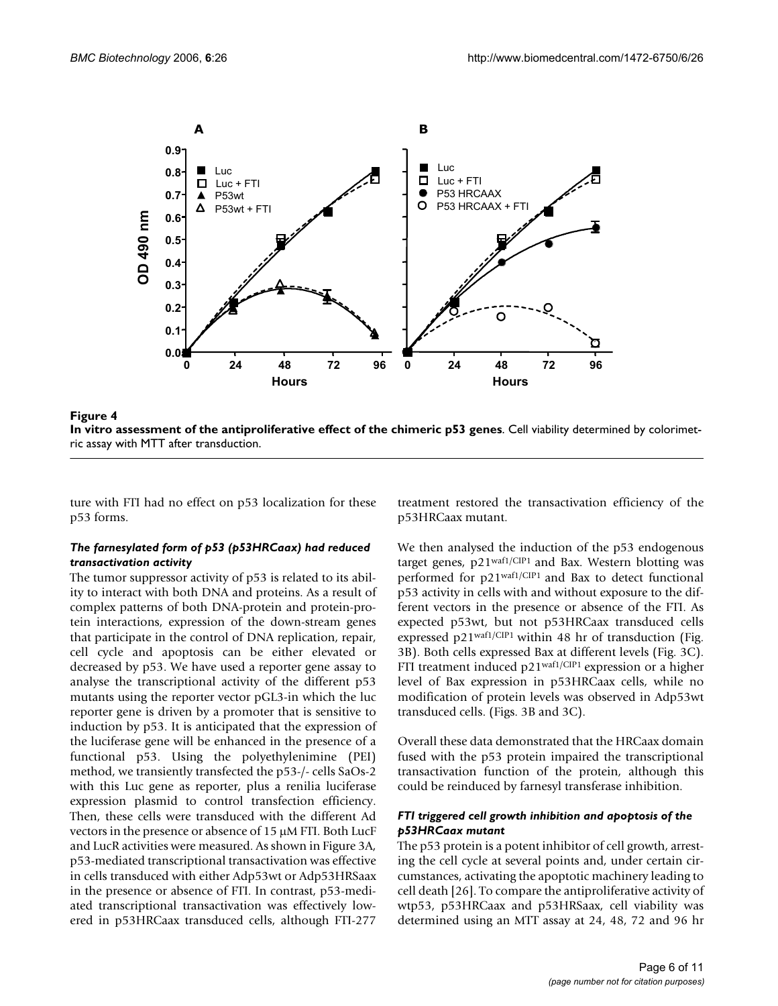



ture with FTI had no effect on p53 localization for these p53 forms.

### *The farnesylated form of p53 (p53HRCaax) had reduced transactivation activity*

The tumor suppressor activity of p53 is related to its ability to interact with both DNA and proteins. As a result of complex patterns of both DNA-protein and protein-protein interactions, expression of the down-stream genes that participate in the control of DNA replication, repair, cell cycle and apoptosis can be either elevated or decreased by p53. We have used a reporter gene assay to analyse the transcriptional activity of the different p53 mutants using the reporter vector pGL3-in which the luc reporter gene is driven by a promoter that is sensitive to induction by p53. It is anticipated that the expression of the luciferase gene will be enhanced in the presence of a functional p53. Using the polyethylenimine (PEI) method, we transiently transfected the p53-/- cells SaOs-2 with this Luc gene as reporter, plus a renilia luciferase expression plasmid to control transfection efficiency. Then, these cells were transduced with the different Ad vectors in the presence or absence of 15 µM FTI. Both LucF and LucR activities were measured. As shown in Figure 3A, p53-mediated transcriptional transactivation was effective in cells transduced with either Adp53wt or Adp53HRSaax in the presence or absence of FTI. In contrast, p53-mediated transcriptional transactivation was effectively lowered in p53HRCaax transduced cells, although FTI-277

treatment restored the transactivation efficiency of the p53HRCaax mutant.

We then analysed the induction of the p53 endogenous target genes, p21waf1/CIP1 and Bax. Western blotting was performed for p21waf1/CIP1 and Bax to detect functional p53 activity in cells with and without exposure to the different vectors in the presence or absence of the FTI. As expected p53wt, but not p53HRCaax transduced cells expressed p21waf1/CIP1 within 48 hr of transduction (Fig. 3B). Both cells expressed Bax at different levels (Fig. 3C). FTI treatment induced p21<sup>waf1/CIP1</sup> expression or a higher level of Bax expression in p53HRCaax cells, while no modification of protein levels was observed in Adp53wt transduced cells. (Figs. 3B and 3C).

Overall these data demonstrated that the HRCaax domain fused with the p53 protein impaired the transcriptional transactivation function of the protein, although this could be reinduced by farnesyl transferase inhibition.

### *FTI triggered cell growth inhibition and apoptosis of the p53HRCaax mutant*

The p53 protein is a potent inhibitor of cell growth, arresting the cell cycle at several points and, under certain circumstances, activating the apoptotic machinery leading to cell death [26]. To compare the antiproliferative activity of wtp53, p53HRCaax and p53HRSaax, cell viability was determined using an MTT assay at 24, 48, 72 and 96 hr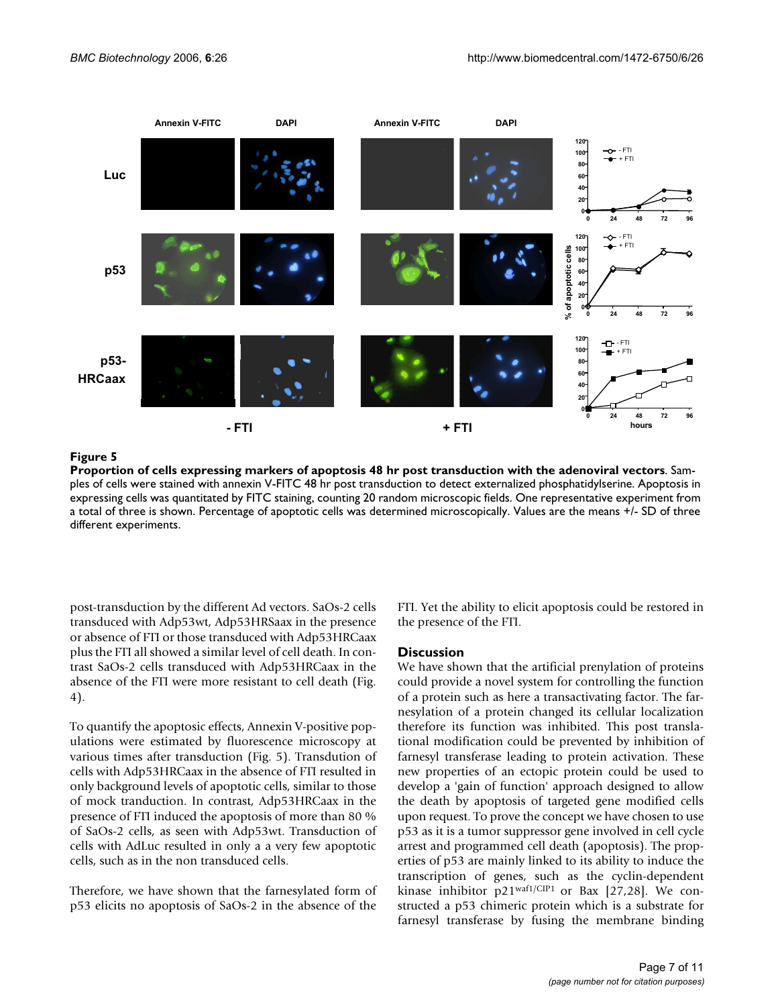

**Proportion of cells expressing markers of apoptosis 48 hr post transduction with the adenoviral vectors**. Samples of cells were stained with annexin V-FITC 48 hr post transduction to detect externalized phosphatidylserine. Apoptosis in expressing cells was quantitated by FITC staining, counting 20 random microscopic fields. One representative experiment from a total of three is shown. Percentage of apoptotic cells was determined microscopically. Values are the means +/- SD of three different experiments.

post-transduction by the different Ad vectors. SaOs-2 cells transduced with Adp53wt, Adp53HRSaax in the presence or absence of FTI or those transduced with Adp53HRCaax plus the FTI all showed a similar level of cell death. In contrast SaOs-2 cells transduced with Adp53HRCaax in the absence of the FTI were more resistant to cell death (Fig. 4).

To quantify the apoptosic effects, Annexin V-positive populations were estimated by fluorescence microscopy at various times after transduction (Fig. 5). Transdution of cells with Adp53HRCaax in the absence of FTI resulted in only background levels of apoptotic cells, similar to those of mock tranduction. In contrast, Adp53HRCaax in the presence of FTI induced the apoptosis of more than 80 % of SaOs-2 cells, as seen with Adp53wt. Transduction of cells with AdLuc resulted in only a a very few apoptotic cells, such as in the non transduced cells.

Therefore, we have shown that the farnesylated form of p53 elicits no apoptosis of SaOs-2 in the absence of the FTI. Yet the ability to elicit apoptosis could be restored in the presence of the FTI.

### **Discussion**

We have shown that the artificial prenylation of proteins could provide a novel system for controlling the function of a protein such as here a transactivating factor. The farnesylation of a protein changed its cellular localization therefore its function was inhibited. This post translational modification could be prevented by inhibition of farnesyl transferase leading to protein activation. These new properties of an ectopic protein could be used to develop a 'gain of function' approach designed to allow the death by apoptosis of targeted gene modified cells upon request. To prove the concept we have chosen to use p53 as it is a tumor suppressor gene involved in cell cycle arrest and programmed cell death (apoptosis). The properties of p53 are mainly linked to its ability to induce the transcription of genes, such as the cyclin-dependent kinase inhibitor  $p21^{\text{waf1/CIP1}}$  or Bax [27,28]. We constructed a p53 chimeric protein which is a substrate for farnesyl transferase by fusing the membrane binding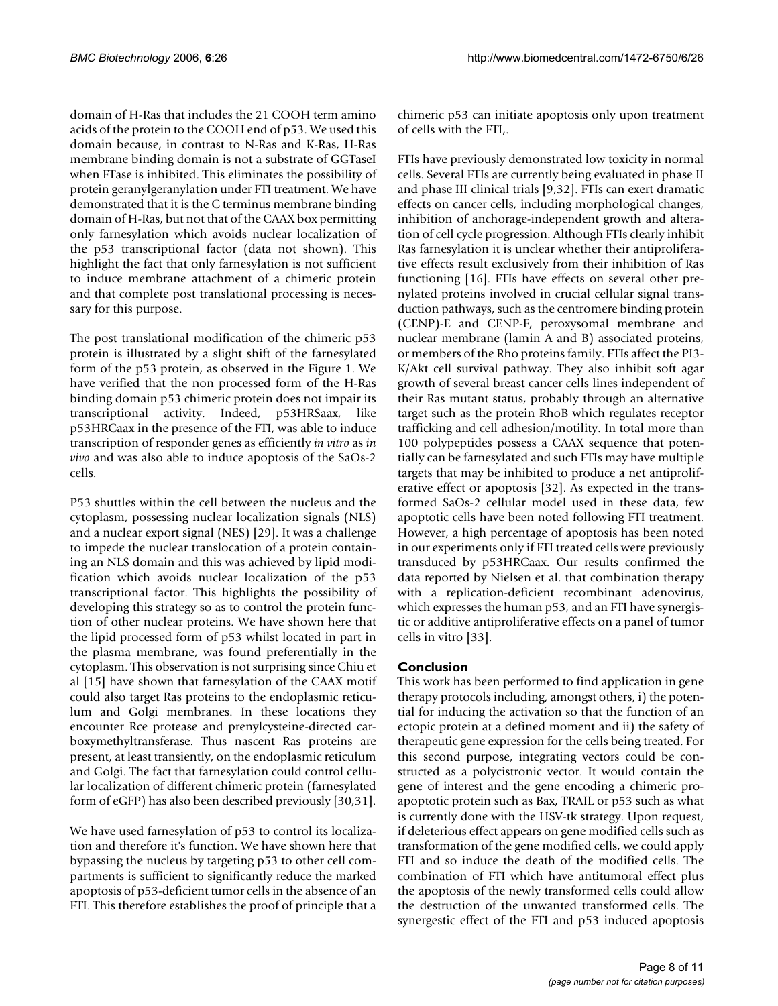domain of H-Ras that includes the 21 COOH term amino acids of the protein to the COOH end of p53. We used this domain because, in contrast to N-Ras and K-Ras, H-Ras membrane binding domain is not a substrate of GGTaseI when FTase is inhibited. This eliminates the possibility of protein geranylgeranylation under FTI treatment. We have demonstrated that it is the C terminus membrane binding domain of H-Ras, but not that of the CAAX box permitting only farnesylation which avoids nuclear localization of the p53 transcriptional factor (data not shown). This highlight the fact that only farnesylation is not sufficient to induce membrane attachment of a chimeric protein and that complete post translational processing is necessary for this purpose.

The post translational modification of the chimeric p53 protein is illustrated by a slight shift of the farnesylated form of the p53 protein, as observed in the Figure 1. We have verified that the non processed form of the H-Ras binding domain p53 chimeric protein does not impair its transcriptional activity. Indeed, p53HRSaax, like p53HRCaax in the presence of the FTI, was able to induce transcription of responder genes as efficiently *in vitro* as *in vivo* and was also able to induce apoptosis of the SaOs-2 cells.

P53 shuttles within the cell between the nucleus and the cytoplasm, possessing nuclear localization signals (NLS) and a nuclear export signal (NES) [29]. It was a challenge to impede the nuclear translocation of a protein containing an NLS domain and this was achieved by lipid modification which avoids nuclear localization of the p53 transcriptional factor. This highlights the possibility of developing this strategy so as to control the protein function of other nuclear proteins. We have shown here that the lipid processed form of p53 whilst located in part in the plasma membrane, was found preferentially in the cytoplasm. This observation is not surprising since Chiu et al [15] have shown that farnesylation of the CAAX motif could also target Ras proteins to the endoplasmic reticulum and Golgi membranes. In these locations they encounter Rce protease and prenylcysteine-directed carboxymethyltransferase. Thus nascent Ras proteins are present, at least transiently, on the endoplasmic reticulum and Golgi. The fact that farnesylation could control cellular localization of different chimeric protein (farnesylated form of eGFP) has also been described previously [30,31].

We have used farnesylation of p53 to control its localization and therefore it's function. We have shown here that bypassing the nucleus by targeting p53 to other cell compartments is sufficient to significantly reduce the marked apoptosis of p53-deficient tumor cells in the absence of an FTI. This therefore establishes the proof of principle that a

chimeric p53 can initiate apoptosis only upon treatment of cells with the FTI,.

FTIs have previously demonstrated low toxicity in normal cells. Several FTIs are currently being evaluated in phase II and phase III clinical trials [9,32]. FTIs can exert dramatic effects on cancer cells, including morphological changes, inhibition of anchorage-independent growth and alteration of cell cycle progression. Although FTIs clearly inhibit Ras farnesylation it is unclear whether their antiproliferative effects result exclusively from their inhibition of Ras functioning [16]. FTIs have effects on several other prenylated proteins involved in crucial cellular signal transduction pathways, such as the centromere binding protein (CENP)-E and CENP-F, peroxysomal membrane and nuclear membrane (lamin A and B) associated proteins, or members of the Rho proteins family. FTIs affect the PI3- K/Akt cell survival pathway. They also inhibit soft agar growth of several breast cancer cells lines independent of their Ras mutant status, probably through an alternative target such as the protein RhoB which regulates receptor trafficking and cell adhesion/motility. In total more than 100 polypeptides possess a CAAX sequence that potentially can be farnesylated and such FTIs may have multiple targets that may be inhibited to produce a net antiproliferative effect or apoptosis [32]. As expected in the transformed SaOs-2 cellular model used in these data, few apoptotic cells have been noted following FTI treatment. However, a high percentage of apoptosis has been noted in our experiments only if FTI treated cells were previously transduced by p53HRCaax. Our results confirmed the data reported by Nielsen et al. that combination therapy with a replication-deficient recombinant adenovirus, which expresses the human p53, and an FTI have synergistic or additive antiproliferative effects on a panel of tumor cells in vitro [33].

# **Conclusion**

This work has been performed to find application in gene therapy protocols including, amongst others, i) the potential for inducing the activation so that the function of an ectopic protein at a defined moment and ii) the safety of therapeutic gene expression for the cells being treated. For this second purpose, integrating vectors could be constructed as a polycistronic vector. It would contain the gene of interest and the gene encoding a chimeric proapoptotic protein such as Bax, TRAIL or p53 such as what is currently done with the HSV-tk strategy. Upon request, if deleterious effect appears on gene modified cells such as transformation of the gene modified cells, we could apply FTI and so induce the death of the modified cells. The combination of FTI which have antitumoral effect plus the apoptosis of the newly transformed cells could allow the destruction of the unwanted transformed cells. The synergestic effect of the FTI and p53 induced apoptosis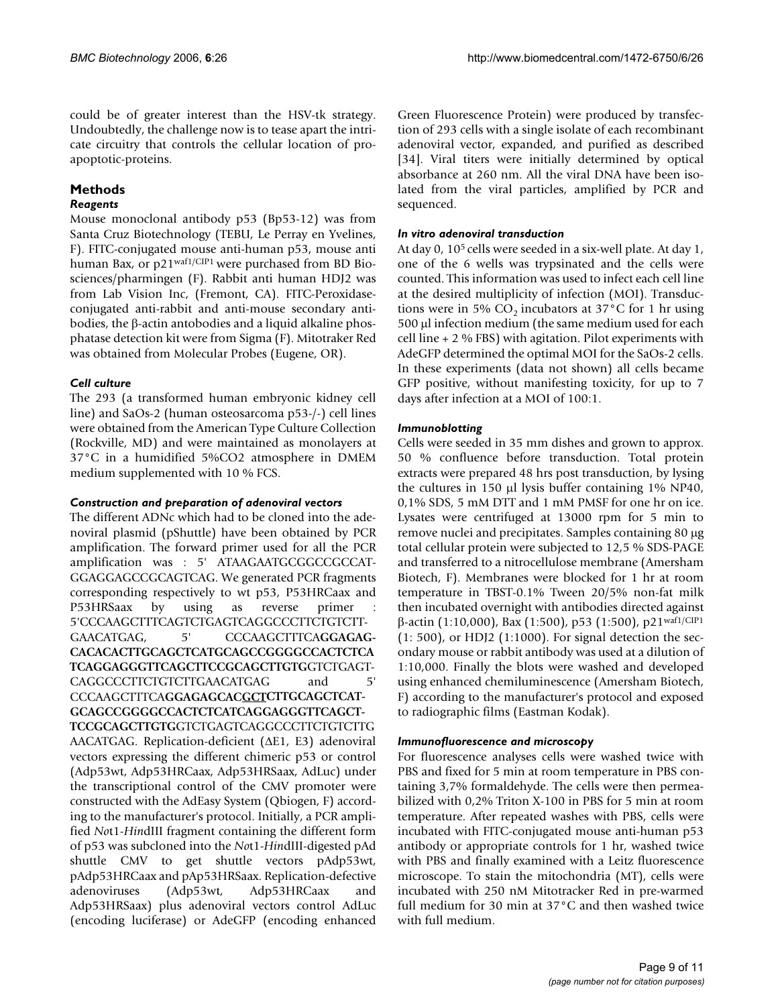could be of greater interest than the HSV-tk strategy. Undoubtedly, the challenge now is to tease apart the intricate circuitry that controls the cellular location of proapoptotic-proteins.

# **Methods**

# *Reagents*

Mouse monoclonal antibody p53 (Bp53-12) was from Santa Cruz Biotechnology (TEBU, Le Perray en Yvelines, F). FITC-conjugated mouse anti-human p53, mouse anti human Bax, or p21<sup>waf1/CIP1</sup> were purchased from BD Biosciences/pharmingen (F). Rabbit anti human HDJ2 was from Lab Vision Inc, (Fremont, CA). FITC-Peroxidaseconjugated anti-rabbit and anti-mouse secondary antibodies, the β-actin antobodies and a liquid alkaline phosphatase detection kit were from Sigma (F). Mitotraker Red was obtained from Molecular Probes (Eugene, OR).

# *Cell culture*

The 293 (a transformed human embryonic kidney cell line) and SaOs-2 (human osteosarcoma p53-/-) cell lines were obtained from the American Type Culture Collection (Rockville, MD) and were maintained as monolayers at 37°C in a humidified 5%CO2 atmosphere in DMEM medium supplemented with 10 % FCS.

### *Construction and preparation of adenoviral vectors*

The different ADNc which had to be cloned into the adenoviral plasmid (pShuttle) have been obtained by PCR amplification. The forward primer used for all the PCR amplification was : 5' ATAAGAATGCGGCCGCCAT-GGAGGAGCCGCAGTCAG. We generated PCR fragments corresponding respectively to wt p53, P53HRCaax and P53HRSaax by using as reverse primer 5'CCCAAGCTTTCAGTCTGAGTCAGGCCCTTCTGTCTT-GAACATGAG, 5' CCCAAGCTTTCA**GGAGAG-CACACACTTGCAGCTCATGCAGCCGGGGCCACTCTCA TCAGGAGGGTTCAGCTTCCGCAGCTTGTG**GTCTGAGT-CAGGCCCTTCTGTCTTGAACATGAG and 5' CCCAAGCTTTCA**GGAGAGCACGCTCTTGCAGCTCAT-GCAGCCGGGGCCACTCTCATCAGGAGGGTTCAGCT-TCCGCAGCTTGTG**GTCTGAGTCAGGCCCTTCTGTCTTG AACATGAG. Replication-deficient (∆E1, E3) adenoviral vectors expressing the different chimeric p53 or control (Adp53wt, Adp53HRCaax, Adp53HRSaax, AdLuc) under the transcriptional control of the CMV promoter were constructed with the AdEasy System (Qbiogen, F) according to the manufacturer's protocol. Initially, a PCR amplified *No*t1-*Hin*dIII fragment containing the different form of p53 was subcloned into the *No*t1-*Hin*dIII-digested pAd shuttle CMV to get shuttle vectors pAdp53wt, pAdp53HRCaax and pAp53HRSaax. Replication-defective adenoviruses (Adp53wt, Adp53HRCaax and Adp53HRSaax) plus adenoviral vectors control AdLuc (encoding luciferase) or AdeGFP (encoding enhanced Green Fluorescence Protein) were produced by transfection of 293 cells with a single isolate of each recombinant adenoviral vector, expanded, and purified as described [34]. Viral titers were initially determined by optical absorbance at 260 nm. All the viral DNA have been isolated from the viral particles, amplified by PCR and sequenced.

# *In vitro adenoviral transduction*

At day 0, 105 cells were seeded in a six-well plate. At day 1, one of the 6 wells was trypsinated and the cells were counted. This information was used to infect each cell line at the desired multiplicity of infection (MOI). Transductions were in 5%  $CO<sub>2</sub>$  incubators at 37°C for 1 hr using 500 µl infection medium (the same medium used for each cell line + 2 % FBS) with agitation. Pilot experiments with AdeGFP determined the optimal MOI for the SaOs-2 cells. In these experiments (data not shown) all cells became GFP positive, without manifesting toxicity, for up to 7 days after infection at a MOI of 100:1.

# *Immunoblotting*

Cells were seeded in 35 mm dishes and grown to approx. 50 % confluence before transduction. Total protein extracts were prepared 48 hrs post transduction, by lysing the cultures in 150 µl lysis buffer containing 1% NP40, 0,1% SDS, 5 mM DTT and 1 mM PMSF for one hr on ice. Lysates were centrifuged at 13000 rpm for 5 min to remove nuclei and precipitates. Samples containing 80 µg total cellular protein were subjected to 12,5 % SDS-PAGE and transferred to a nitrocellulose membrane (Amersham Biotech, F). Membranes were blocked for 1 hr at room temperature in TBST-0.1% Tween 20/5% non-fat milk then incubated overnight with antibodies directed against β-actin (1:10,000), Bax (1:500), p53 (1:500), p21waf1/CIP1 (1: 500), or HDJ2 (1:1000). For signal detection the secondary mouse or rabbit antibody was used at a dilution of 1:10,000. Finally the blots were washed and developed using enhanced chemiluminescence (Amersham Biotech, F) according to the manufacturer's protocol and exposed to radiographic films (Eastman Kodak).

### *Immunofluorescence and microscopy*

For fluorescence analyses cells were washed twice with PBS and fixed for 5 min at room temperature in PBS containing 3,7% formaldehyde. The cells were then permeabilized with 0,2% Triton X-100 in PBS for 5 min at room temperature. After repeated washes with PBS, cells were incubated with FITC-conjugated mouse anti-human p53 antibody or appropriate controls for 1 hr, washed twice with PBS and finally examined with a Leitz fluorescence microscope. To stain the mitochondria (MT), cells were incubated with 250 nM Mitotracker Red in pre-warmed full medium for 30 min at 37°C and then washed twice with full medium.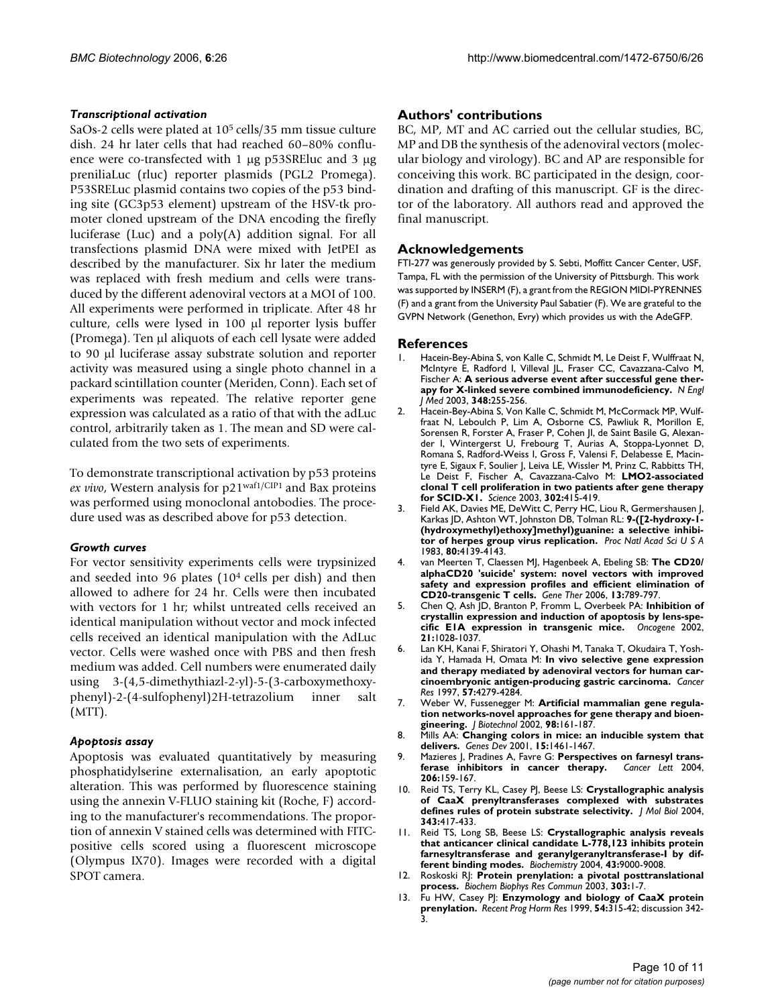### *Transcriptional activation*

SaOs-2 cells were plated at 105 cells/35 mm tissue culture dish. 24 hr later cells that had reached 60–80% confluence were co-transfected with 1 µg p53SREluc and 3 µg preniliaLuc (rluc) reporter plasmids (PGL2 Promega). P53SRELuc plasmid contains two copies of the p53 binding site (GC3p53 element) upstream of the HSV-tk promoter cloned upstream of the DNA encoding the firefly luciferase (Luc) and a poly(A) addition signal. For all transfections plasmid DNA were mixed with JetPEI as described by the manufacturer. Six hr later the medium was replaced with fresh medium and cells were transduced by the different adenoviral vectors at a MOI of 100. All experiments were performed in triplicate. After 48 hr culture, cells were lysed in 100 µl reporter lysis buffer (Promega). Ten µl aliquots of each cell lysate were added to 90 µl luciferase assay substrate solution and reporter activity was measured using a single photo channel in a packard scintillation counter (Meriden, Conn). Each set of experiments was repeated. The relative reporter gene expression was calculated as a ratio of that with the adLuc control, arbitrarily taken as 1. The mean and SD were calculated from the two sets of experiments.

To demonstrate transcriptional activation by p53 proteins *ex vivo*, Western analysis for p21waf1/CIP1 and Bax proteins was performed using monoclonal antobodies. The procedure used was as described above for p53 detection.

### *Growth curves*

For vector sensitivity experiments cells were trypsinized and seeded into 96 plates (104 cells per dish) and then allowed to adhere for 24 hr. Cells were then incubated with vectors for 1 hr; whilst untreated cells received an identical manipulation without vector and mock infected cells received an identical manipulation with the AdLuc vector. Cells were washed once with PBS and then fresh medium was added. Cell numbers were enumerated daily using 3-(4,5-dimethythiazl-2-yl)-5-(3-carboxymethoxyphenyl)-2-(4-sulfophenyl)2H-tetrazolium inner salt (MTT).

### *Apoptosis assay*

Apoptosis was evaluated quantitatively by measuring phosphatidylserine externalisation, an early apoptotic alteration. This was performed by fluorescence staining using the annexin V-FLUO staining kit (Roche, F) according to the manufacturer's recommendations. The proportion of annexin V stained cells was determined with FITCpositive cells scored using a fluorescent microscope (Olympus IX70). Images were recorded with a digital SPOT camera.

### **Authors' contributions**

BC, MP, MT and AC carried out the cellular studies, BC, MP and DB the synthesis of the adenoviral vectors (molecular biology and virology). BC and AP are responsible for conceiving this work. BC participated in the design, coordination and drafting of this manuscript. GF is the director of the laboratory. All authors read and approved the final manuscript.

### **Acknowledgements**

FTI-277 was generously provided by S. Sebti, Moffitt Cancer Center, USF, Tampa, FL with the permission of the University of Pittsburgh. This work was supported by INSERM (F), a grant from the REGION MIDI-PYRENNES (F) and a grant from the University Paul Sabatier (F). We are grateful to the GVPN Network (Genethon, Evry) which provides us with the AdeGFP.

### **References**

- 1. Hacein-Bey-Abina S, von Kalle C, Schmidt M, Le Deist F, Wulffraat N, McIntyre E, Radford I, Villeval JL, Fraser CC, Cavazzana-Calvo M, Fischer A: **[A serious adverse event after successful gene ther](http://www.ncbi.nlm.nih.gov/entrez/query.fcgi?cmd=Retrieve&db=PubMed&dopt=Abstract&list_uids=12529469)[apy for X-linked severe combined immunodeficiency.](http://www.ncbi.nlm.nih.gov/entrez/query.fcgi?cmd=Retrieve&db=PubMed&dopt=Abstract&list_uids=12529469)** *N Engl J Med* 2003, **348:**255-256.
- 2. Hacein-Bey-Abina S, Von Kalle C, Schmidt M, McCormack MP, Wulffraat N, Leboulch P, Lim A, Osborne CS, Pawliuk R, Morillon E, Sorensen R, Forster A, Fraser P, Cohen JI, de Saint Basile G, Alexander I, Wintergerst U, Frebourg T, Aurias A, Stoppa-Lyonnet D, Romana S, Radford-Weiss I, Gross F, Valensi F, Delabesse E, Macintyre E, Sigaux F, Soulier J, Leiva LE, Wissler M, Prinz C, Rabbitts TH, Le Deist F, Fischer A, Cavazzana-Calvo M: **[LMO2-associated](http://www.ncbi.nlm.nih.gov/entrez/query.fcgi?cmd=Retrieve&db=PubMed&dopt=Abstract&list_uids=14564000) [clonal T cell proliferation in two patients after gene therapy](http://www.ncbi.nlm.nih.gov/entrez/query.fcgi?cmd=Retrieve&db=PubMed&dopt=Abstract&list_uids=14564000) [for SCID-X1.](http://www.ncbi.nlm.nih.gov/entrez/query.fcgi?cmd=Retrieve&db=PubMed&dopt=Abstract&list_uids=14564000)** *Science* 2003, **302:**415-419.
- 3. Field AK, Davies ME, DeWitt C, Perry HC, Liou R, Germershausen J, Karkas JD, Ashton WT, Johnston DB, Tolman RL: **[9-\(\[2-hydroxy-1-](http://www.ncbi.nlm.nih.gov/entrez/query.fcgi?cmd=Retrieve&db=PubMed&dopt=Abstract&list_uids=6306664) [\(hydroxymethyl\)ethoxy\]methyl\)guanine: a selective inhibi](http://www.ncbi.nlm.nih.gov/entrez/query.fcgi?cmd=Retrieve&db=PubMed&dopt=Abstract&list_uids=6306664)[tor of herpes group virus replication.](http://www.ncbi.nlm.nih.gov/entrez/query.fcgi?cmd=Retrieve&db=PubMed&dopt=Abstract&list_uids=6306664)** *Proc Natl Acad Sci U S A* 1983, **80:**4139-4143.
- 4. van Meerten T, Claessen MJ, Hagenbeek A, Ebeling SB: **[The CD20/](http://www.ncbi.nlm.nih.gov/entrez/query.fcgi?cmd=Retrieve&db=PubMed&dopt=Abstract&list_uids=16421601) alphaCD20 'suicide' system: novel vectors with improved [safety and expression profiles and efficient elimination of](http://www.ncbi.nlm.nih.gov/entrez/query.fcgi?cmd=Retrieve&db=PubMed&dopt=Abstract&list_uids=16421601) [CD20-transgenic T cells.](http://www.ncbi.nlm.nih.gov/entrez/query.fcgi?cmd=Retrieve&db=PubMed&dopt=Abstract&list_uids=16421601)** *Gene Ther* 2006, **13:**789-797.
- 5. Chen Q, Ash JD, Branton P, Fromm L, Overbeek PA: **[Inhibition of](http://www.ncbi.nlm.nih.gov/entrez/query.fcgi?cmd=Retrieve&db=PubMed&dopt=Abstract&list_uids=11850820) [crystallin expression and induction of apoptosis by lens-spe](http://www.ncbi.nlm.nih.gov/entrez/query.fcgi?cmd=Retrieve&db=PubMed&dopt=Abstract&list_uids=11850820)[cific E1A expression in transgenic mice.](http://www.ncbi.nlm.nih.gov/entrez/query.fcgi?cmd=Retrieve&db=PubMed&dopt=Abstract&list_uids=11850820)** *Oncogene* 2002, **21:**1028-1037.
- Lan KH, Kanai F, Shiratori Y, Ohashi M, Tanaka T, Okudaira T, Yoshida Y, Hamada H, Omata M: **[In vivo selective gene expression](http://www.ncbi.nlm.nih.gov/entrez/query.fcgi?cmd=Retrieve&db=PubMed&dopt=Abstract&list_uids=9331089) [and therapy mediated by adenoviral vectors for human car](http://www.ncbi.nlm.nih.gov/entrez/query.fcgi?cmd=Retrieve&db=PubMed&dopt=Abstract&list_uids=9331089)[cinoembryonic antigen-producing gastric carcinoma.](http://www.ncbi.nlm.nih.gov/entrez/query.fcgi?cmd=Retrieve&db=PubMed&dopt=Abstract&list_uids=9331089)** *Cancer Res* 1997, **57:**4279-4284.
- 7. Weber W, Fussenegger M: **[Artificial mammalian gene regula](http://www.ncbi.nlm.nih.gov/entrez/query.fcgi?cmd=Retrieve&db=PubMed&dopt=Abstract&list_uids=12141985)[tion networks-novel approaches for gene therapy and bioen](http://www.ncbi.nlm.nih.gov/entrez/query.fcgi?cmd=Retrieve&db=PubMed&dopt=Abstract&list_uids=12141985)[gineering.](http://www.ncbi.nlm.nih.gov/entrez/query.fcgi?cmd=Retrieve&db=PubMed&dopt=Abstract&list_uids=12141985)** *J Biotechnol* 2002, **98:**161-187.
- 8. Mills AA: **[Changing colors in mice: an inducible system that](http://www.ncbi.nlm.nih.gov/entrez/query.fcgi?cmd=Retrieve&db=PubMed&dopt=Abstract&list_uids=11410526) [delivers.](http://www.ncbi.nlm.nih.gov/entrez/query.fcgi?cmd=Retrieve&db=PubMed&dopt=Abstract&list_uids=11410526)** *Genes Dev* 2001, **15:**1461-1467.
- 9. Mazieres J, Pradines A, Favre G: **[Perspectives on farnesyl trans](http://www.ncbi.nlm.nih.gov/entrez/query.fcgi?cmd=Retrieve&db=PubMed&dopt=Abstract&list_uids=15013521)[ferase inhibitors in cancer therapy.](http://www.ncbi.nlm.nih.gov/entrez/query.fcgi?cmd=Retrieve&db=PubMed&dopt=Abstract&list_uids=15013521)** *Cancer Lett* 2004, **206:**159-167.
- 10. Reid TS, Terry KL, Casey PJ, Beese LS: **[Crystallographic analysis](http://www.ncbi.nlm.nih.gov/entrez/query.fcgi?cmd=Retrieve&db=PubMed&dopt=Abstract&list_uids=15451670) [of CaaX prenyltransferases complexed with substrates](http://www.ncbi.nlm.nih.gov/entrez/query.fcgi?cmd=Retrieve&db=PubMed&dopt=Abstract&list_uids=15451670) [defines rules of protein substrate selectivity.](http://www.ncbi.nlm.nih.gov/entrez/query.fcgi?cmd=Retrieve&db=PubMed&dopt=Abstract&list_uids=15451670)** *J Mol Biol* 2004, **343:**417-433.
- 11. Reid TS, Long SB, Beese LS: **[Crystallographic analysis reveals](http://www.ncbi.nlm.nih.gov/entrez/query.fcgi?cmd=Retrieve&db=PubMed&dopt=Abstract&list_uids=15248757) that anticancer clinical candidate L-778,123 inhibits protein [farnesyltransferase and geranylgeranyltransferase-I by dif](http://www.ncbi.nlm.nih.gov/entrez/query.fcgi?cmd=Retrieve&db=PubMed&dopt=Abstract&list_uids=15248757)[ferent binding modes.](http://www.ncbi.nlm.nih.gov/entrez/query.fcgi?cmd=Retrieve&db=PubMed&dopt=Abstract&list_uids=15248757)** *Biochemistry* 2004, **43:**9000-9008.
- 12. Roskoski RJ: **[Protein prenylation: a pivotal posttranslational](http://www.ncbi.nlm.nih.gov/entrez/query.fcgi?cmd=Retrieve&db=PubMed&dopt=Abstract&list_uids=12646157) [process.](http://www.ncbi.nlm.nih.gov/entrez/query.fcgi?cmd=Retrieve&db=PubMed&dopt=Abstract&list_uids=12646157)** *Biochem Biophys Res Commun* 2003, **303:**1-7.
- 13. Fu HW, Casey PJ: **[Enzymology and biology of CaaX protein](http://www.ncbi.nlm.nih.gov/entrez/query.fcgi?cmd=Retrieve&db=PubMed&dopt=Abstract&list_uids=10548882) [prenylation.](http://www.ncbi.nlm.nih.gov/entrez/query.fcgi?cmd=Retrieve&db=PubMed&dopt=Abstract&list_uids=10548882)** *Recent Prog Horm Res* 1999, **54:**315-42; discussion 342- 3.